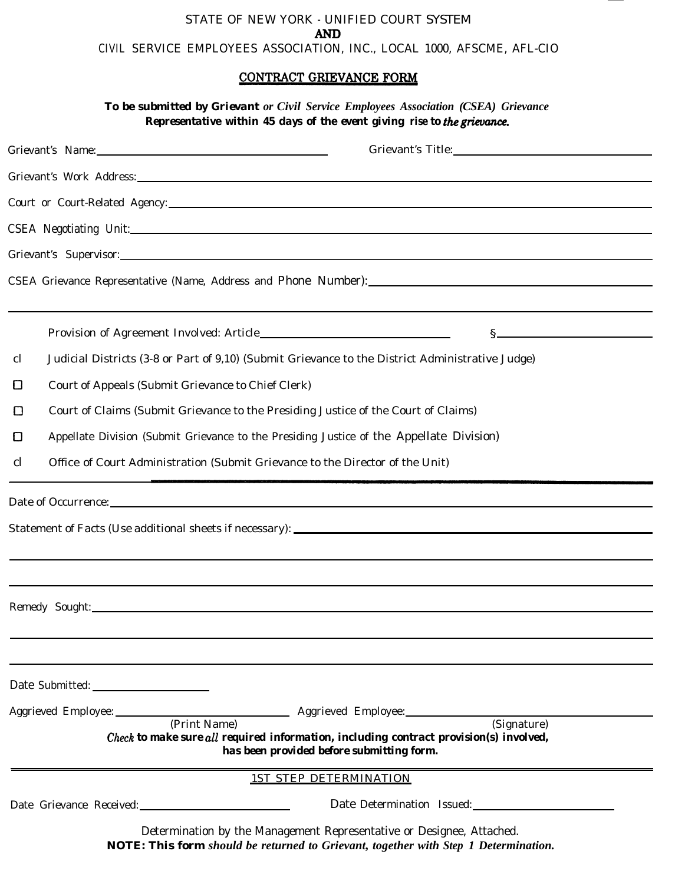## STATE OF NEW YORK - UNIFIED COURT SYSTEM **AND** CIVIL SERVICE EMPLOYEES ASSOCIATION, INC., LOCAL 1000, AFSCME, AFL-CIO

## CONTRACT GRIEVANCE FORM

|    |                                                                                                                                                                                                                                | To be submitted by Grievant or Civil Service Employees Association (CSEA) Grievance<br>Representative within 45 days of the event giving rise to the grievance.                                                                |
|----|--------------------------------------------------------------------------------------------------------------------------------------------------------------------------------------------------------------------------------|--------------------------------------------------------------------------------------------------------------------------------------------------------------------------------------------------------------------------------|
|    | Grievant's Name: 1988 Contract Contract Contract Contract Contract Contract Contract Contract Contract Contract Contract Contract Contract Contract Contract Contract Contract Contract Contract Contract Contract Contract Co | Grievant's Title: Van American Contract of Title:                                                                                                                                                                              |
|    |                                                                                                                                                                                                                                |                                                                                                                                                                                                                                |
|    |                                                                                                                                                                                                                                |                                                                                                                                                                                                                                |
|    |                                                                                                                                                                                                                                | CSEA Negotiating Unit:                                                                                                                                                                                                         |
|    |                                                                                                                                                                                                                                | Grievant's Supervisor: 2008 Contract Contract Contract Contract Contract Contract Contract Contract Contract Contract Contract Contract Contract Contract Contract Contract Contract Contract Contract Contract Contract Contr |
|    |                                                                                                                                                                                                                                |                                                                                                                                                                                                                                |
|    |                                                                                                                                                                                                                                | S                                                                                                                                                                                                                              |
| cl |                                                                                                                                                                                                                                | Judicial Districts (3-8 or Part of 9,10) (Submit Grievance to the District Administrative Judge)                                                                                                                               |
| O  | Court of Appeals (Submit Grievance to Chief Clerk)                                                                                                                                                                             |                                                                                                                                                                                                                                |
| ப  |                                                                                                                                                                                                                                | Court of Claims (Submit Grievance to the Presiding Justice of the Court of Claims)                                                                                                                                             |
| O  |                                                                                                                                                                                                                                | Appellate Division (Submit Grievance to the Presiding Justice of the Appellate Division)                                                                                                                                       |
| cl |                                                                                                                                                                                                                                | Office of Court Administration (Submit Grievance to the Director of the Unit)                                                                                                                                                  |
|    |                                                                                                                                                                                                                                | Date of Occurrence: Date of Occurrence and Allen and Allen and Allen and Allen and Allen and Allen and Allen and Allen and Allen and Allen and Allen and Allen and Allen and Allen and Allen and Allen and Allen and Allen and |
|    |                                                                                                                                                                                                                                |                                                                                                                                                                                                                                |
|    |                                                                                                                                                                                                                                |                                                                                                                                                                                                                                |
|    | Remedy Sought:                                                                                                                                                                                                                 |                                                                                                                                                                                                                                |
|    |                                                                                                                                                                                                                                |                                                                                                                                                                                                                                |
|    | (Print Name)                                                                                                                                                                                                                   | (Signature)<br>Check to make sure all required information, including contract provision(s) involved,<br>has been provided before submitting form.                                                                             |
|    |                                                                                                                                                                                                                                | <b>1ST STEP DETERMINATION</b>                                                                                                                                                                                                  |
|    | Date Grievance Received:<br><u>Date Crievance Received:</u>                                                                                                                                                                    | Date Determination Issued:                                                                                                                                                                                                     |
|    |                                                                                                                                                                                                                                | Determination by the Management Representative or Designee, Attached.<br><b>NOTE: This form should be returned to Crievant, together with Step 1 Determination</b>                                                             |

*NOTE: This form should be returned to Grievant, together with Step 1 Determination.*